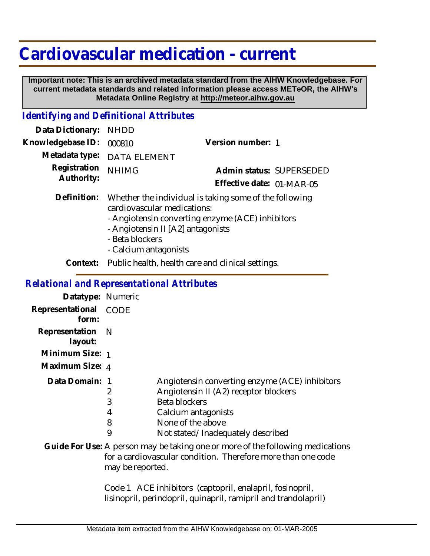## **Cardiovascular medication - current**

 **Important note: This is an archived metadata standard from the AIHW Knowledgebase. For current metadata standards and related information please access METeOR, the AIHW's Metadata Online Registry at http://meteor.aihw.gov.au**

## *Identifying and Definitional Attributes*

| Data Dictionary:           | <b>NHDD</b>                                                                                                                                                                                                                |                           |
|----------------------------|----------------------------------------------------------------------------------------------------------------------------------------------------------------------------------------------------------------------------|---------------------------|
| Knowledgebase ID:          | 000810                                                                                                                                                                                                                     | Version number: 1         |
| Metadata type:             | <b>DATA ELEMENT</b>                                                                                                                                                                                                        |                           |
| Registration<br>Authority: | <b>NHIMG</b>                                                                                                                                                                                                               | Admin status: SUPERSEDED  |
|                            |                                                                                                                                                                                                                            | Effective date: 01-MAR-05 |
| Definition:                | Whether the individual is taking some of the following<br>cardiovascular medications:<br>- Angiotensin converting enzyme (ACE) inhibitors<br>- Angiotensin II [A2] antagonists<br>- Beta blockers<br>- Calcium antagonists |                           |
| Context:                   | Public health, health care and clinical settings.                                                                                                                                                                          |                           |
|                            |                                                                                                                                                                                                                            |                           |

## *Relational and Representational Attributes*

| Datatype: Numeric              |                       |                                                                                                                                                                                           |
|--------------------------------|-----------------------|-------------------------------------------------------------------------------------------------------------------------------------------------------------------------------------------|
| Representational CODE<br>form: |                       |                                                                                                                                                                                           |
| Representation N<br>layout:    |                       |                                                                                                                                                                                           |
| Minimum Size: 1                |                       |                                                                                                                                                                                           |
| Maximum Size: 4                |                       |                                                                                                                                                                                           |
| Data Domain: 1                 | 2<br>3<br>4<br>8<br>9 | Angiotensin converting enzyme (ACE) inhibitors<br>Angiotensin II (A2) receptor blockers<br>Beta blockers<br>Calcium antagonists<br>None of the above<br>Not stated/Inadequately described |
|                                | may be reported.      | Guide For Use: A person may be taking one or more of the following medications<br>for a cardiovascular condition. Therefore more than one code                                            |

Code 1 ACE inhibitors (captopril, enalapril, fosinopril, lisinopril, perindopril, quinapril, ramipril and trandolapril)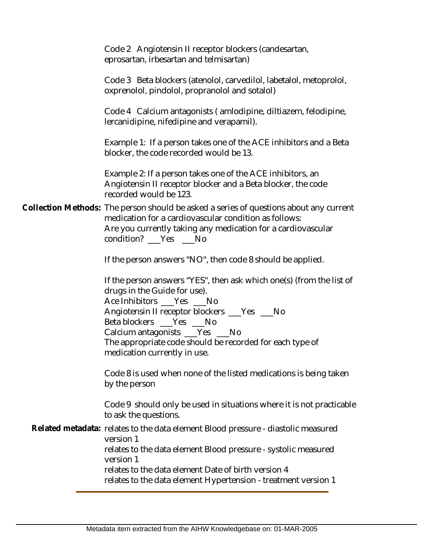Code 2 Angiotensin II receptor blockers (candesartan, eprosartan, irbesartan and telmisartan)

Code 3 Beta blockers (atenolol, carvedilol, labetalol, metoprolol, oxprenolol, pindolol, propranolol and sotalol)

Code 4 Calcium antagonists ( amlodipine, diltiazem, felodipine, lercanidipine, nifedipine and verapamil).

Example 1: If a person takes one of the ACE inhibitors and a Beta blocker, the code recorded would be 13.

Example 2: If a person takes one of the ACE inhibitors, an Angiotensin II receptor blocker and a Beta blocker, the code recorded would be 123.

Collection Methods: The person should be asked a series of questions about any current medication for a cardiovascular condition as follows: Are you currently taking any medication for a cardiovascular condition? \_\_\_Yes \_\_\_No

If the person answers "NO", then code 8 should be applied.

If the person answers "YES", then ask which one(s) (from the list of drugs in the Guide for use). Ace Inhibitors Yes No Angiotensin II receptor blockers \_\_\_Yes \_\_\_No Beta blockers \_\_\_Yes \_\_\_No Calcium antagonists \_\_\_Yes \_\_\_ No The appropriate code should be recorded for each type of medication currently in use.

Code 8 is used when none of the listed medications is being taken by the person

Code 9 should only be used in situations where it is not practicable to ask the questions.

Related metadata: relates to the data element Blood pressure - diastolic measured version 1 relates to the data element Blood pressure - systolic measured version 1 relates to the data element Date of birth version 4 relates to the data element Hypertension - treatment version 1